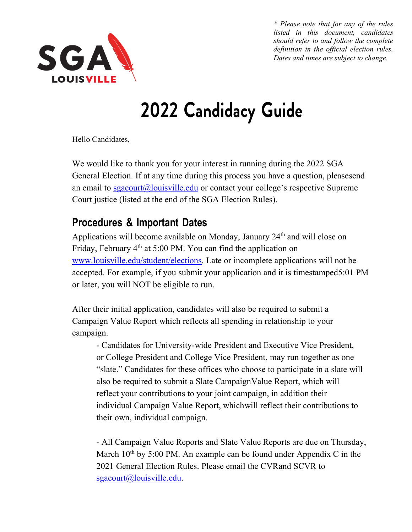

## **2022 Candidacy Guide**

Hello Candidates,

We would like to thank you for your interest in running during the 2022 SGA General Election. If at any time during this process you have a question, pleasesend an email to  $sgacourt(a)$ louisville.edu or contact your college's respective Supreme Court justice (listed at the end of the SGA Election Rules).

## **Procedures & Important Dates**

Applications will become available on Monday, January 24<sup>th</sup> and will close on Friday, February 4<sup>th</sup> at 5:00 PM. You can find the application on www.louisville.edu/student/elections. Late or incomplete applications will not be accepted. For example, if you submit your application and it is timestamped5:01 PM or later, you will NOT be eligible to run.

After their initial application, candidates will also be required to submit a Campaign Value Report which reflects all spending in relationship to your campaign.

- Candidates for University-wide President and Executive Vice President, or College President and College Vice President, may run together as one "slate." Candidates for these offices who choose to participate in a slate will also be required to submit a Slate CampaignValue Report, which will reflect your contributions to your joint campaign, in addition their individual Campaign Value Report, whichwill reflect their contributions to their own, individual campaign.

- All Campaign Value Reports and Slate Value Reports are due on Thursday, March  $10<sup>th</sup>$  by 5:00 PM. An example can be found under Appendix C in the 2021 General Election Rules. Please email the CVRand SCVR to sgacourt@louisville.edu.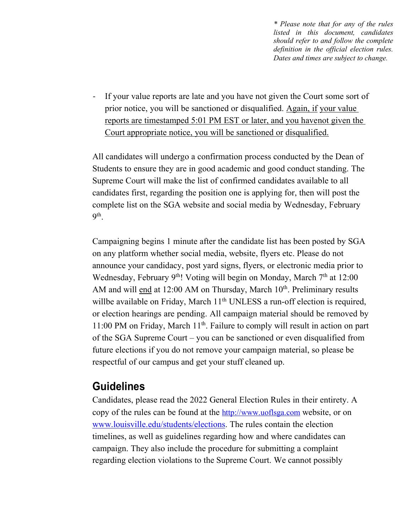If your value reports are late and you have not given the Court some sort of prior notice, you will be sanctioned or disqualified. Again, if your value reports are timestamped 5:01 PM EST or later, and you havenot given the Court appropriate notice, you will be sanctioned or disqualified.

All candidates will undergo a confirmation process conducted by the Dean of Students to ensure they are in good academic and good conduct standing. The Supreme Court will make the list of confirmed candidates available to all candidates first, regarding the position one is applying for, then will post the complete list on the SGA website and social media by Wednesday, February 9th.

Campaigning begins 1 minute after the candidate list has been posted by SGA on any platform whether social media, website, flyers etc. Please do not announce your candidacy, post yard signs, flyers, or electronic media prior to Wednesday, February 9<sup>th</sup>! Voting will begin on Monday, March  $7<sup>th</sup>$  at 12:00 AM and will end at 12:00 AM on Thursday, March 10<sup>th</sup>. Preliminary results willbe available on Friday, March 11<sup>th</sup> UNLESS a run-off election is required, or election hearings are pending. All campaign material should be removed by 11:00 PM on Friday, March  $11<sup>th</sup>$ . Failure to comply will result in action on part of the SGA Supreme Court – you can be sanctioned or even disqualified from future elections if you do not remove your campaign material, so please be respectful of our campus and get your stuff cleaned up.

## **Guidelines**

Candidates, please read the 2022 General Election Rules in their entirety. A copy of the rules can be found at the http://www.uoflsga.com website, or on www.louisville.edu/students/elections. The rules contain the election timelines, as well as guidelines regarding how and where candidates can campaign. They also include the procedure for submitting a complaint regarding election violations to the Supreme Court. We cannot possibly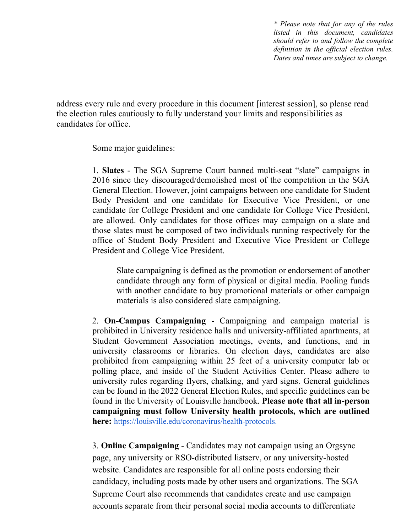address every rule and every procedure in this document [interest session], so please read the election rules cautiously to fully understand your limits and responsibilities as candidates for office.

Some major guidelines:

1. **Slates** - The SGA Supreme Court banned multi-seat "slate" campaigns in 2016 since they discouraged/demolished most of the competition in the SGA General Election. However, joint campaigns between one candidate for Student Body President and one candidate for Executive Vice President, or one candidate for College President and one candidate for College Vice President, are allowed. Only candidates for those offices may campaign on a slate and those slates must be composed of two individuals running respectively for the office of Student Body President and Executive Vice President or College President and College Vice President.

Slate campaigning is defined as the promotion or endorsement of another candidate through any form of physical or digital media. Pooling funds with another candidate to buy promotional materials or other campaign materials is also considered slate campaigning.

2. **On-Campus Campaigning** - Campaigning and campaign material is prohibited in University residence halls and university-affiliated apartments, at Student Government Association meetings, events, and functions, and in university classrooms or libraries. On election days, candidates are also prohibited from campaigning within 25 feet of a university computer lab or polling place, and inside of the Student Activities Center. Please adhere to university rules regarding flyers, chalking, and yard signs. General guidelines can be found in the 2022 General Election Rules, and specific guidelines can be found in the University of Louisville handbook. **Please note that all in-person campaigning must follow University health protocols, which are outlined here:** https://louisville.edu/coronavirus/health-protocols.

3. **Online Campaigning** - Candidates may not campaign using an Orgsync page, any university or RSO-distributed listserv, or any university-hosted website. Candidates are responsible for all online posts endorsing their candidacy, including posts made by other users and organizations. The SGA Supreme Court also recommends that candidates create and use campaign accounts separate from their personal social media accounts to differentiate